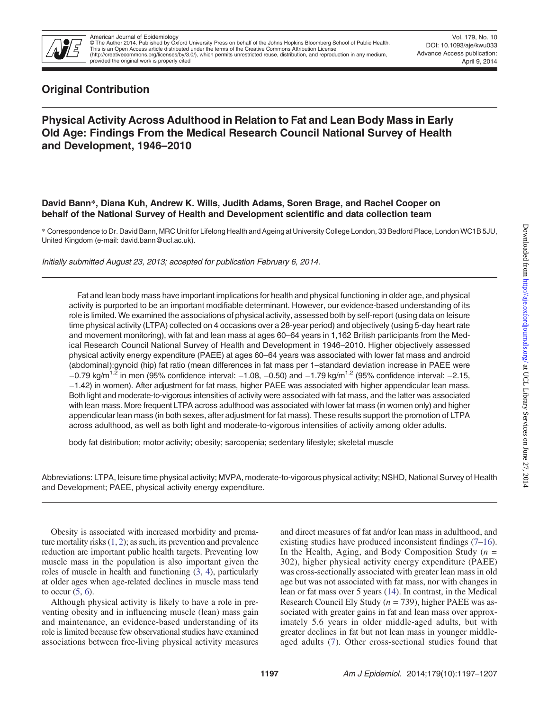

Vol. 179, No. 10 DOI: 10.1093/aje/kwu033 Advance Access publication: April 9, 2014

# Original Contribution

## Physical Activity Across Adulthood in Relation to Fat and Lean Body Mass in Early Old Age: Findings From the Medical Research Council National Survey of Health and Development, 1946–2010

David Bann\*, Diana Kuh, Andrew K. Wills, Judith Adams, Soren Brage, and Rachel Cooper on behalf of the National Survey of Health and Development scientific and data collection team

\* Correspondence to Dr. David Bann, MRC Unit for Lifelong Health and Ageing at University College London, 33 Bedford Place, London WC1B 5JU, United Kingdom (e-mail: david.bann@ucl.ac.uk).

Initially submitted August 23, 2013; accepted for publication February 6, 2014.

Fat and lean body mass have important implications for health and physical functioning in older age, and physical activity is purported to be an important modifiable determinant. However, our evidence-based understanding of its role is limited. We examined the associations of physical activity, assessed both by self-report (using data on leisure time physical activity (LTPA) collected on 4 occasions over a 28-year period) and objectively (using 5-day heart rate and movement monitoring), with fat and lean mass at ages 60–64 years in 1,162 British participants from the Medical Research Council National Survey of Health and Development in 1946–2010. Higher objectively assessed physical activity energy expenditure (PAEE) at ages 60–64 years was associated with lower fat mass and android (abdominal):gynoid (hip) fat ratio (mean differences in fat mass per 1–standard deviation increase in PAEE were  $-0.79$  kg/m<sup>1.2</sup> in men (95% confidence interval:  $-1.08$ ,  $-0.50$ ) and  $-1.79$  kg/m<sup>1.2</sup> (95% confidence interval:  $-2.15$ , −1.42) in women). After adjustment for fat mass, higher PAEE was associated with higher appendicular lean mass. Both light and moderate-to-vigorous intensities of activity were associated with fat mass, and the latter was associated with lean mass. More frequent LTPA across adulthood was associated with lower fat mass (in women only) and higher appendicular lean mass (in both sexes, after adjustment for fat mass). These results support the promotion of LTPA across adulthood, as well as both light and moderate-to-vigorous intensities of activity among older adults.

body fat distribution; motor activity; obesity; sarcopenia; sedentary lifestyle; skeletal muscle

Abbreviations: LTPA, leisure time physical activity; MVPA, moderate-to-vigorous physical activity; NSHD, National Survey of Health and Development; PAEE, physical activity energy expenditure.

Obesity is associated with increased morbidity and premature mortality risks  $(1, 2)$  $(1, 2)$  $(1, 2)$  $(1, 2)$ ; as such, its prevention and prevalence reduction are important public health targets. Preventing low muscle mass in the population is also important given the roles of muscle in health and functioning [\(3,](#page-8-0) [4](#page-8-0)), particularly at older ages when age-related declines in muscle mass tend to occur  $(5, 6)$  $(5, 6)$  $(5, 6)$  $(5, 6)$ .

Although physical activity is likely to have a role in preventing obesity and in influencing muscle (lean) mass gain and maintenance, an evidence-based understanding of its role is limited because few observational studies have examined associations between free-living physical activity measures and direct measures of fat and/or lean mass in adulthood, and existing studies have produced inconsistent findings [\(7](#page-8-0)–[16](#page-9-0)). In the Health, Aging, and Body Composition Study  $(n =$ 302), higher physical activity energy expenditure (PAEE) was cross-sectionally associated with greater lean mass in old age but was not associated with fat mass, nor with changes in lean or fat mass over 5 years [\(14](#page-9-0)). In contrast, in the Medical Research Council Ely Study ( $n = 739$ ), higher PAEE was associated with greater gains in fat and lean mass over approximately 5.6 years in older middle-aged adults, but with greater declines in fat but not lean mass in younger middleaged adults ([7\)](#page-8-0). Other cross-sectional studies found that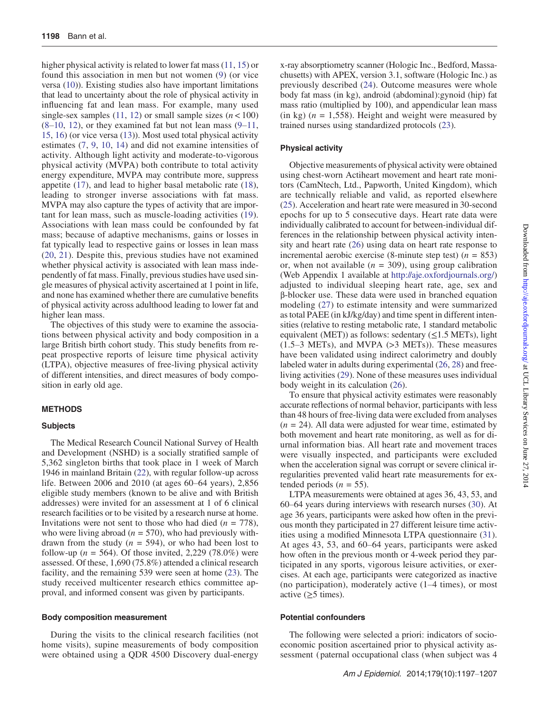higher physical activity is related to lower fat mass ([11,](#page-9-0) [15](#page-9-0)) or found this association in men but not women ([9](#page-9-0)) (or vice versa ([10\)](#page-9-0)). Existing studies also have important limitations that lead to uncertainty about the role of physical activity in influencing fat and lean mass. For example, many used single-sex samples [\(11](#page-9-0), [12](#page-9-0)) or small sample sizes  $(n < 100)$  $(8-10, 12)$  $(8-10, 12)$  $(8-10, 12)$  $(8-10, 12)$  $(8-10, 12)$ , or they examined fat but not lean mass  $(9-11, 12)$  $(9-11, 12)$  $(9-11, 12)$  $(9-11, 12)$  $(9-11, 12)$ [15,](#page-9-0) [16\)](#page-9-0) (or vice versa ([13\)](#page-9-0)). Most used total physical activity estimates ([7,](#page-8-0) [9,](#page-9-0) [10,](#page-9-0) [14\)](#page-9-0) and did not examine intensities of activity. Although light activity and moderate-to-vigorous physical activity (MVPA) both contribute to total activity energy expenditure, MVPA may contribute more, suppress appetite [\(17](#page-9-0)), and lead to higher basal metabolic rate ([18](#page-9-0)), leading to stronger inverse associations with fat mass. MVPA may also capture the types of activity that are important for lean mass, such as muscle-loading activities ([19\)](#page-9-0). Associations with lean mass could be confounded by fat mass; because of adaptive mechanisms, gains or losses in fat typically lead to respective gains or losses in lean mass [\(20](#page-9-0), [21](#page-9-0)). Despite this, previous studies have not examined whether physical activity is associated with lean mass independently of fat mass. Finally, previous studies have used single measures of physical activity ascertained at 1 point in life, and none has examined whether there are cumulative benefits of physical activity across adulthood leading to lower fat and higher lean mass.

The objectives of this study were to examine the associations between physical activity and body composition in a large British birth cohort study. This study benefits from repeat prospective reports of leisure time physical activity (LTPA), objective measures of free-living physical activity of different intensities, and direct measures of body composition in early old age.

#### METHODS

#### **Subjects**

The Medical Research Council National Survey of Health and Development (NSHD) is a socially stratified sample of 5,362 singleton births that took place in 1 week of March 1946 in mainland Britain ([22\)](#page-9-0), with regular follow-up across life. Between 2006 and 2010 (at ages 60–64 years), 2,856 eligible study members (known to be alive and with British addresses) were invited for an assessment at 1 of 6 clinical research facilities or to be visited by a research nurse at home. Invitations were not sent to those who had died ( $n = 778$ ), who were living abroad ( $n = 570$ ), who had previously withdrawn from the study ( $n = 594$ ), or who had been lost to follow-up ( $n = 564$ ). Of those invited, 2,229 (78.0%) were assessed. Of these, 1,690 (75.8%) attended a clinical research facility, and the remaining 539 were seen at home ([23\)](#page-9-0). The study received multicenter research ethics committee approval, and informed consent was given by participants.

#### Body composition measurement

During the visits to the clinical research facilities (not home visits), supine measurements of body composition were obtained using a QDR 4500 Discovery dual-energy

x-ray absorptiometry scanner (Hologic Inc., Bedford, Massachusetts) with APEX, version 3.1, software (Hologic Inc.) as previously described [\(24\)](#page-9-0). Outcome measures were whole body fat mass (in kg), android (abdominal):gynoid (hip) fat mass ratio (multiplied by 100), and appendicular lean mass (in kg) ( $n = 1,558$ ). Height and weight were measured by trained nurses using standardized protocols ([23\)](#page-9-0).

#### Physical activity

Objective measurements of physical activity were obtained using chest-worn Actiheart movement and heart rate monitors (CamNtech, Ltd., Papworth, United Kingdom), which are technically reliable and valid, as reported elsewhere [\(25](#page-9-0)). Acceleration and heart rate were measured in 30-second epochs for up to 5 consecutive days. Heart rate data were individually calibrated to account for between-individual differences in the relationship between physical activity intensity and heart rate ([26\)](#page-9-0) using data on heart rate response to incremental aerobic exercise (8-minute step test) ( $n = 853$ ) or, when not available  $(n = 309)$ , using group calibration (Web Appendix 1 available at [http://aje.oxfordjournals.org/\)](http://aje.oxfordjournals.org/) adjusted to individual sleeping heart rate, age, sex and β-blocker use. These data were used in branched equation modeling [\(27](#page-9-0)) to estimate intensity and were summarized as total PAEE (in kJ/kg/day) and time spent in different intensities (relative to resting metabolic rate, 1 standard metabolic equivalent (MET)) as follows: sedentary  $(\leq 1.5 \text{ METs})$ , light (1.5–3 METs), and MVPA (>3 METs)). These measures have been validated using indirect calorimetry and doubly labeled water in adults during experimental [\(26](#page-9-0), [28\)](#page-9-0) and freeliving activities ([29\)](#page-9-0). None of these measures uses individual body weight in its calculation [\(26](#page-9-0)).

To ensure that physical activity estimates were reasonably accurate reflections of normal behavior, participants with less than 48 hours of free-living data were excluded from analyses  $(n = 24)$ . All data were adjusted for wear time, estimated by both movement and heart rate monitoring, as well as for diurnal information bias. All heart rate and movement traces were visually inspected, and participants were excluded when the acceleration signal was corrupt or severe clinical irregularities prevented valid heart rate measurements for extended periods ( $n = 55$ ).

LTPA measurements were obtained at ages 36, 43, 53, and 60–64 years during interviews with research nurses [\(30](#page-9-0)). At age 36 years, participants were asked how often in the previous month they participated in 27 different leisure time activities using a modified Minnesota LTPA questionnaire ([31](#page-9-0)). At ages 43, 53, and 60–64 years, participants were asked how often in the previous month or 4-week period they participated in any sports, vigorous leisure activities, or exercises. At each age, participants were categorized as inactive (no participation), moderately active (1–4 times), or most active (≥5 times).

#### Potential confounders

The following were selected a priori: indicators of socioeconomic position ascertained prior to physical activity assessment ( paternal occupational class (when subject was 4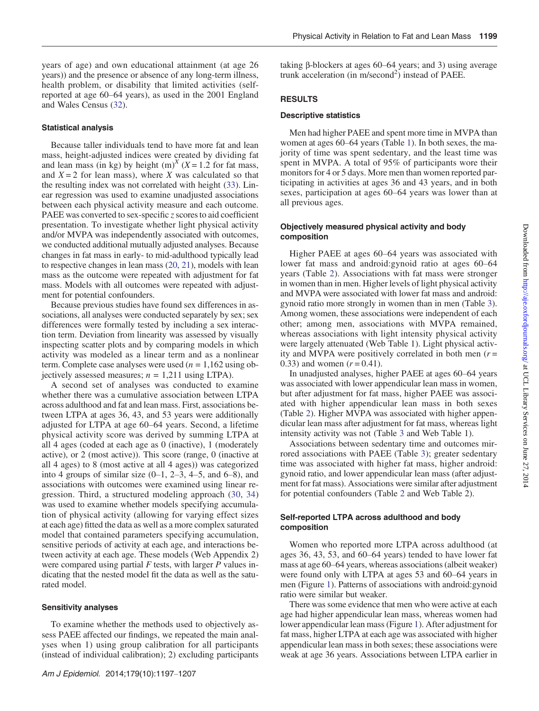years of age) and own educational attainment (at age 26 years)) and the presence or absence of any long-term illness, health problem, or disability that limited activities (selfreported at age 60–64 years), as used in the 2001 England and Wales Census ([32\)](#page-9-0).

## Statistical analysis

Because taller individuals tend to have more fat and lean mass, height-adjusted indices were created by dividing fat and lean mass (in kg) by height (m)<sup>X</sup> (X = 1.2 for fat mass, and  $X = 2$  for lean mass), where X was calculated so that the resulting index was not correlated with height ([33\)](#page-9-0). Linear regression was used to examine unadjusted associations between each physical activity measure and each outcome. PAEE was converted to sex-specific  $\zeta$  scores to aid coefficient presentation. To investigate whether light physical activity and/or MVPA was independently associated with outcomes, we conducted additional mutually adjusted analyses. Because changes in fat mass in early- to mid-adulthood typically lead to respective changes in lean mass [\(20](#page-9-0), [21](#page-9-0)), models with lean mass as the outcome were repeated with adjustment for fat mass. Models with all outcomes were repeated with adjustment for potential confounders.

Because previous studies have found sex differences in associations, all analyses were conducted separately by sex; sex differences were formally tested by including a sex interaction term. Deviation from linearity was assessed by visually inspecting scatter plots and by comparing models in which activity was modeled as a linear term and as a nonlinear term. Complete case analyses were used  $(n = 1,162 \text{ using ob-}$ jectively assessed measures;  $n = 1,211$  using LTPA).

A second set of analyses was conducted to examine whether there was a cumulative association between LTPA across adulthood and fat and lean mass. First, associations between LTPA at ages 36, 43, and 53 years were additionally adjusted for LTPA at age 60–64 years. Second, a lifetime physical activity score was derived by summing LTPA at all 4 ages (coded at each age as 0 (inactive), 1 (moderately active), or 2 (most active)). This score (range, 0 (inactive at all 4 ages) to 8 (most active at all 4 ages)) was categorized into 4 groups of similar size  $(0-1, 2-3, 4-5,$  and  $6-8)$ , and associations with outcomes were examined using linear regression. Third, a structured modeling approach ([30](#page-9-0), [34\)](#page-9-0) was used to examine whether models specifying accumulation of physical activity (allowing for varying effect sizes at each age) fitted the data as well as a more complex saturated model that contained parameters specifying accumulation, sensitive periods of activity at each age, and interactions between activity at each age. These models (Web Appendix 2) were compared using partial  $F$  tests, with larger  $P$  values indicating that the nested model fit the data as well as the saturated model.

### Sensitivity analyses

To examine whether the methods used to objectively assess PAEE affected our findings, we repeated the main analyses when 1) using group calibration for all participants (instead of individual calibration); 2) excluding participants taking β-blockers at ages 60–64 years; and 3) using average trunk acceleration (in m/second<sup>2</sup>) instead of PAEE.

#### RESULTS

#### Descriptive statistics

Men had higher PAEE and spent more time in MVPA than women at ages 60–64 years (Table [1](#page-3-0)). In both sexes, the majority of time was spent sedentary, and the least time was spent in MVPA. A total of 95% of participants wore their monitors for 4 or 5 days. More men than women reported participating in activities at ages 36 and 43 years, and in both sexes, participation at ages 60–64 years was lower than at all previous ages.

## Objectively measured physical activity and body composition

Higher PAEE at ages 60–64 years was associated with lower fat mass and android:gynoid ratio at ages 60–64 years (Table [2\)](#page-4-0). Associations with fat mass were stronger in women than in men. Higher levels of light physical activity and MVPA were associated with lower fat mass and android: gynoid ratio more strongly in women than in men (Table [3](#page-4-0)). Among women, these associations were independent of each other; among men, associations with MVPA remained, whereas associations with light intensity physical activity were largely attenuated (Web Table 1). Light physical activity and MVPA were positively correlated in both men  $(r =$ 0.33) and women  $(r = 0.41)$ .

In unadjusted analyses, higher PAEE at ages 60–64 years was associated with lower appendicular lean mass in women, but after adjustment for fat mass, higher PAEE was associated with higher appendicular lean mass in both sexes (Table [2](#page-4-0)). Higher MVPA was associated with higher appendicular lean mass after adjustment for fat mass, whereas light intensity activity was not (Table [3](#page-4-0) and Web Table 1).

Associations between sedentary time and outcomes mirrored associations with PAEE (Table [3](#page-4-0)); greater sedentary time was associated with higher fat mass, higher android: gynoid ratio, and lower appendicular lean mass (after adjustment for fat mass). Associations were similar after adjustment for potential confounders (Table [2](#page-4-0) and Web Table 2).

## Self-reported LTPA across adulthood and body composition

Women who reported more LTPA across adulthood (at ages 36, 43, 53, and 60–64 years) tended to have lower fat mass at age 60–64 years, whereas associations (albeit weaker) were found only with LTPA at ages 53 and 60–64 years in men (Figure [1\)](#page-5-0). Patterns of associations with android:gynoid ratio were similar but weaker.

There was some evidence that men who were active at each age had higher appendicular lean mass, whereas women had lower appendicular lean mass (Figure [1](#page-5-0)). After adjustment for fat mass, higher LTPA at each age was associated with higher appendicular lean mass in both sexes; these associations were weak at age 36 years. Associations between LTPA earlier in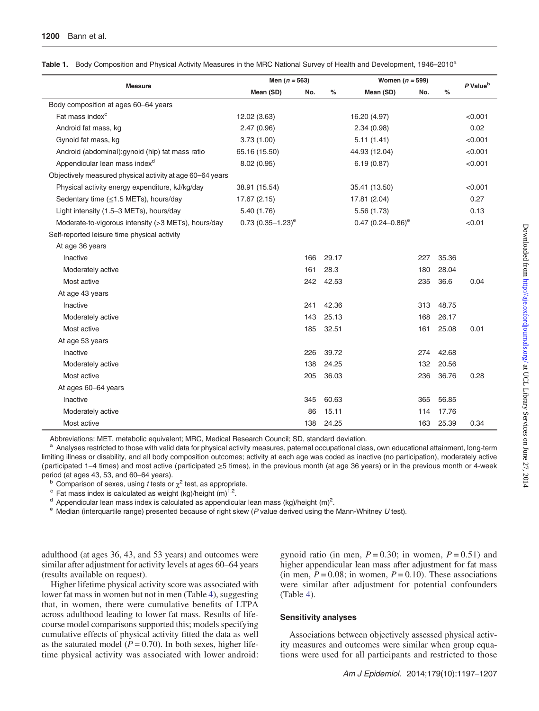| <b>Measure</b>                                            | Men $(n = 563)$       |     | Women $(n = 599)$ | P Value <sup>b</sup>  |     |       |         |
|-----------------------------------------------------------|-----------------------|-----|-------------------|-----------------------|-----|-------|---------|
|                                                           | Mean (SD)             | No. | $\%$              | Mean (SD)             | No. | %     |         |
| Body composition at ages 60-64 years                      |                       |     |                   |                       |     |       |         |
| Fat mass index <sup>c</sup>                               | 12.02 (3.63)          |     |                   | 16.20 (4.97)          |     |       | < 0.001 |
| Android fat mass, kg                                      | 2.47(0.96)            |     |                   | 2.34(0.98)            |     |       | 0.02    |
| Gynoid fat mass, kg                                       | 3.73(1.00)            |     |                   | 5.11(1.41)            |     |       | < 0.001 |
| Android (abdominal): gynoid (hip) fat mass ratio          | 65.16 (15.50)         |     |                   | 44.93 (12.04)         |     |       | < 0.001 |
| Appendicular lean mass index <sup>d</sup>                 | 8.02(0.95)            |     |                   | 6.19(0.87)            |     |       | < 0.001 |
| Objectively measured physical activity at age 60–64 years |                       |     |                   |                       |     |       |         |
| Physical activity energy expenditure, kJ/kg/day           | 38.91 (15.54)         |     |                   | 35.41 (13.50)         |     |       | < 0.001 |
| Sedentary time ( $\leq$ 1.5 METs), hours/day              | 17.67 (2.15)          |     |                   | 17.81 (2.04)          |     |       | 0.27    |
| Light intensity (1.5-3 METs), hours/day                   | 5.40(1.76)            |     |                   | 5.56(1.73)            |     |       | 0.13    |
| Moderate-to-vigorous intensity (>3 METs), hours/day       | $0.73(0.35 - 1.23)^e$ |     |                   | $0.47(0.24 - 0.86)^e$ |     |       | < 0.01  |
| Self-reported leisure time physical activity              |                       |     |                   |                       |     |       |         |
| At age 36 years                                           |                       |     |                   |                       |     |       |         |
| Inactive                                                  |                       | 166 | 29.17             |                       | 227 | 35.36 |         |
| Moderately active                                         |                       | 161 | 28.3              |                       | 180 | 28.04 |         |
| Most active                                               |                       | 242 | 42.53             |                       | 235 | 36.6  | 0.04    |
| At age 43 years                                           |                       |     |                   |                       |     |       |         |
| Inactive                                                  |                       | 241 | 42.36             |                       | 313 | 48.75 |         |
| Moderately active                                         |                       | 143 | 25.13             |                       | 168 | 26.17 |         |
| Most active                                               |                       | 185 | 32.51             |                       | 161 | 25.08 | 0.01    |
| At age 53 years                                           |                       |     |                   |                       |     |       |         |
| Inactive                                                  |                       | 226 | 39.72             |                       | 274 | 42.68 |         |
| Moderately active                                         |                       | 138 | 24.25             |                       | 132 | 20.56 |         |
| Most active                                               |                       | 205 | 36.03             |                       | 236 | 36.76 | 0.28    |
| At ages 60-64 years                                       |                       |     |                   |                       |     |       |         |
| Inactive                                                  |                       | 345 | 60.63             |                       | 365 | 56.85 |         |
| Moderately active                                         |                       | 86  | 15.11             |                       | 114 | 17.76 |         |
| Most active                                               |                       | 138 | 24.25             |                       | 163 | 25.39 | 0.34    |

<span id="page-3-0"></span>Table 1. Body Composition and Physical Activity Measures in the MRC National Survey of Health and Development, 1946–2010<sup>a</sup>

Abbreviations: MET, metabolic equivalent; MRC, Medical Research Council; SD, standard deviation.

<sup>a</sup> Analyses restricted to those with valid data for physical activity measures, paternal occupational class, own educational attainment, long-term limiting illness or disability, and all body composition outcomes; activity at each age was coded as inactive (no participation), moderately active (participated 1–4 times) and most active (participated  $\geq$ 5 times), in the previous month (at age 36 years) or in the previous month or 4-week period (at ages 43, 53, and 60–64 years).<br><sup>b</sup> Comparison of sexes, using *t* tests or  $\chi^2$  test, as appropriate.

- 
- $\textdegree$  Fat mass index is calculated as weight (kg)/height (m)<sup>1.2</sup>.

 $^{\text{d}}$  Appendicular lean mass index is calculated as appendicular lean mass (kg)/height (m)<sup>2</sup>.

 $e$  Median (interquartile range) presented because of right skew (P value derived using the Mann-Whitney U test).

adulthood (at ages 36, 43, and 53 years) and outcomes were similar after adjustment for activity levels at ages 60–64 years (results available on request).

Higher lifetime physical activity score was associated with lower fat mass in women but not in men (Table [4\)](#page-6-0), suggesting that, in women, there were cumulative benefits of LTPA across adulthood leading to lower fat mass. Results of lifecourse model comparisons supported this; models specifying cumulative effects of physical activity fitted the data as well as the saturated model ( $P = 0.70$ ). In both sexes, higher lifetime physical activity was associated with lower android: gynoid ratio (in men,  $P = 0.30$ ; in women,  $P = 0.51$ ) and higher appendicular lean mass after adjustment for fat mass (in men,  $P = 0.08$ ; in women,  $P = 0.10$ ). These associations were similar after adjustment for potential confounders (Table [4](#page-6-0)).

#### Sensitivity analyses

Associations between objectively assessed physical activity measures and outcomes were similar when group equations were used for all participants and restricted to those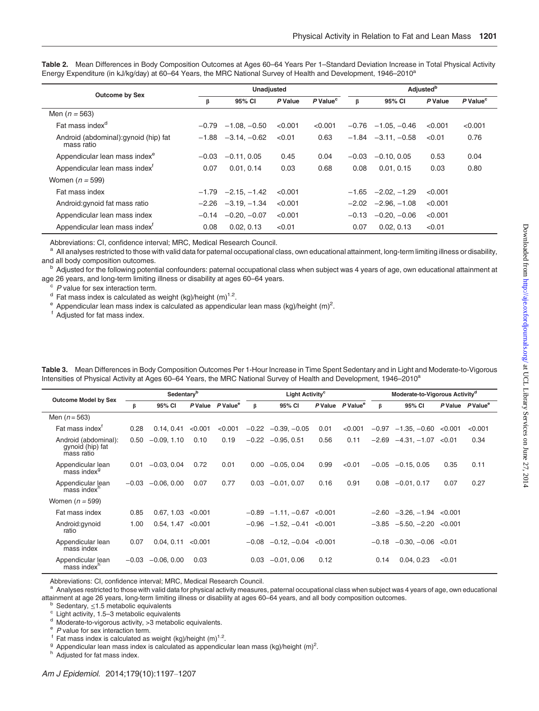|                                                     |         | Unadjusted     |         |                                 | <b>Adjusted</b> <sup>b</sup> |                           |         |                      |  |
|-----------------------------------------------------|---------|----------------|---------|---------------------------------|------------------------------|---------------------------|---------|----------------------|--|
| <b>Outcome by Sex</b>                               | β       | 95% CI         |         | P Value <sup>c</sup><br>P Value |                              | 95% CI                    | P Value | P Value <sup>c</sup> |  |
| Men $(n = 563)$                                     |         |                |         |                                 |                              |                           |         |                      |  |
| Fat mass index <sup>a</sup>                         | $-0.79$ | $-1.08, -0.50$ | < 0.001 | < 0.001                         |                              | $-0.76$ $-1.05$ , $-0.46$ | < 0.001 | < 0.001              |  |
| Android (abdominal): gynoid (hip) fat<br>mass ratio | $-1.88$ | $-3.14. -0.62$ | < 0.01  | 0.63                            |                              | $-1.84 -3.11$ . $-0.58$   | < 0.01  | 0.76                 |  |
| Appendicular lean mass index <sup>e</sup>           | $-0.03$ | $-0.11, 0.05$  | 0.45    | 0.04                            | $-0.03$                      | $-0.10, 0.05$             | 0.53    | 0.04                 |  |
| Appendicular lean mass index <sup>t</sup>           | 0.07    | 0.01, 0.14     | 0.03    | 0.68                            | 0.08                         | 0.01, 0.15                | 0.03    | 0.80                 |  |
| Women $(n = 599)$                                   |         |                |         |                                 |                              |                           |         |                      |  |
| Fat mass index                                      | $-1.79$ | $-2.15, -1.42$ | < 0.001 |                                 |                              | $-1.65 -2.02 -1.29$       | < 0.001 |                      |  |
| Android: gynoid fat mass ratio                      | $-2.26$ | $-3.19, -1.34$ | < 0.001 |                                 |                              | $-2.02$ $-2.96$ . $-1.08$ | < 0.001 |                      |  |
| Appendicular lean mass index                        | $-0.14$ | $-0.20, -0.07$ | < 0.001 |                                 | $-0.13$                      | $-0.20, -0.06$            | < 0.001 |                      |  |
| Appendicular lean mass index <sup>t</sup>           | 0.08    | 0.02, 0.13     | < 0.01  |                                 | 0.07                         | 0.02, 0.13                | < 0.01  |                      |  |

<span id="page-4-0"></span>Table 2. Mean Differences in Body Composition Outcomes at Ages 60-64 Years Per 1-Standard Deviation Increase in Total Physical Activity Energy Expenditure (in kJ/kg/day) at 60–64 Years, the MRC National Survey of Health and Development, 1946–2010<sup>a</sup>

Abbreviations: CI, confidence interval; MRC, Medical Research Council.

 $^{\rm a}$  All analyses restricted to those with valid data for paternal occupational class, own educational attainment, long-term limiting illness or disability, and all body composition outcomes.

b Adjusted for the following potential confounders: paternal occupational class when subject was 4 years of age, own educational attainment at age 26 years, and long-term limiting illness or disability at ages 60–64 years.<br>
<sup>c</sup> P value for sex interaction term.

 $d$  Fat mass index is calculated as weight (kg)/height (m)<sup>1.2</sup>.

 $\textdegree$  Appendicular lean mass index is calculated as appendicular lean mass (kg)/height (m)<sup>2</sup>.

<sup>f</sup> Adjusted for fat mass index.

|                                                        | Sedentary <sup>b</sup> |               |         |                              |         | Light Activity <sup>c</sup> |         |                              |         | Moderate-to-Vigorous Activity <sup>d</sup> |         |                              |  |
|--------------------------------------------------------|------------------------|---------------|---------|------------------------------|---------|-----------------------------|---------|------------------------------|---------|--------------------------------------------|---------|------------------------------|--|
| <b>Outcome Model by Sex</b>                            | β                      | 95% CI        |         | P Value P Value <sup>e</sup> | $\beta$ | 95% CI                      |         | P Value P Value <sup>e</sup> | ß       | 95% CI                                     |         | P Value P Value <sup>e</sup> |  |
| Men $(n = 563)$                                        |                        |               |         |                              |         |                             |         |                              |         |                                            |         |                              |  |
| Fat mass index <sup>T</sup>                            | 0.28                   | 0.14.0.41     | < 0.001 | < 0.001                      |         | $-0.22 -0.39, -0.05$        | 0.01    | < 0.001                      |         | $-0.97$ $-1.35, -0.60$                     | < 0.001 | < 0.001                      |  |
| Android (abdominal):<br>gynoid (hip) fat<br>mass ratio | 0.50                   | $-0.09, 1.10$ | 0.10    | 0.19                         | $-0.22$ | $-0.95, 0.51$               | 0.56    | 0.11                         | $-2.69$ | $-4.31, -1.07$                             | < 0.01  | 0.34                         |  |
| Appendicular lean<br>mass index <sup>9</sup>           | 0.01                   | $-0.03, 0.04$ | 0.72    | 0.01                         | 0.00    | $-0.05, 0.04$               | 0.99    | < 0.01                       | $-0.05$ | $-0.15, 0.05$                              | 0.35    | 0.11                         |  |
| Appendicular lean<br>mass index <sup>h</sup>           | $-0.03$                | $-0.06, 0.00$ | 0.07    | 0.77                         | 0.03    | $-0.01, 0.07$               | 0.16    | 0.91                         | 0.08    | $-0.01, 0.17$                              | 0.07    | 0.27                         |  |
| Women $(n = 599)$                                      |                        |               |         |                              |         |                             |         |                              |         |                                            |         |                              |  |
| Fat mass index                                         | 0.85                   | 0.67, 1.03    | < 0.001 |                              |         | $-0.89$ $-1.11, -0.67$      | < 0.001 |                              |         | $-2.60$ $-3.26$ , $-1.94$ $< 0.001$        |         |                              |  |
| Android:gynoid<br>ratio                                | 1.00                   | 0.54, 1.47    | < 0.001 |                              |         | $-0.96$ $-1.52, -0.41$      | < 0.001 |                              | $-3.85$ | $-5.50, -2.20$                             | < 0.001 |                              |  |
| Appendicular lean<br>mass index                        | 0.07                   | 0.04, 0.11    | < 0.001 |                              | $-0.08$ | $-0.12, -0.04$              | < 0.001 |                              | $-0.18$ | $-0.30, -0.06$                             | < 0.01  |                              |  |
| Appendicular lean<br>mass index <sup>h</sup>           | $-0.03$                | $-0.06, 0.00$ | 0.03    |                              | 0.03    | $-0.01, 0.06$               | 0.12    |                              | 0.14    | 0.04.0.23                                  | < 0.01  |                              |  |

Table 3. Mean Differences in Body Composition Outcomes Per 1-Hour Increase in Time Spent Sedentary and in Light and Moderate-to-Vigorous Intensities of Physical Activity at Ages 60–64 Years, the MRC National Survey of Health and Development, 1946–2010<sup>a</sup>

Abbreviations: CI, confidence interval; MRC, Medical Research Council.

<sup>a</sup> Analyses restricted to those with valid data for physical activity measures, paternal occupational class when subject was 4 years of age, own educational

attainment at age 26 years, long-term limiting illness or disability at ages 60–64 years, and all body composition outcomes.<br>
<sup>b</sup> Sedentary,  $\leq$ 1.5 metabolic equivalents<br>
<sup>c</sup> Light activity, 1.5–3 metabolic equivalents<br> <sup>9</sup> Appendicular lean mass index is calculated as appendicular lean mass (kg)/height (m)<sup>2</sup>.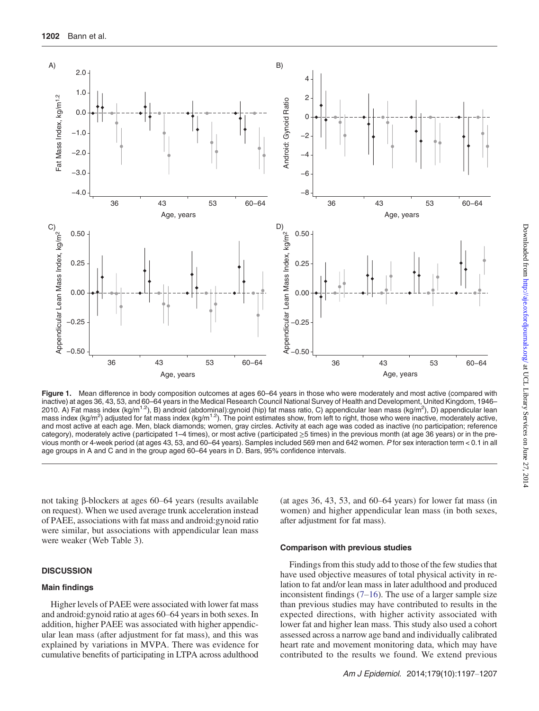<span id="page-5-0"></span>

Figure 1. Mean difference in body composition outcomes at ages 60–64 years in those who were moderately and most active (compared with inactive) at ages 36, 43, 53, and 60–64 years in the Medical Research Council National Survey of Health and Development, United Kingdom, 1946– 2010. A) Fat mass index (kg/m<sup>1.2</sup>), B) android (abdominal):gynoid (hip) fat mass ratio, C) appendicular lean mass (kg/m<sup>2</sup>), D) appendicular lean mass index (kg/m<sup>2</sup>) adjusted for fat mass index (kg/m<sup>1.2</sup>). The point estimates show, from left to right, those who were inactive, moderately active, and most active at each age. Men, black diamonds; women, gray circles. Activity at each age was coded as inactive (no participation; reference category), moderately active (participated 1–4 times), or most active (participated ≥5 times) in the previous month (at age 36 years) or in the previous month or 4-week period (at ages 43, 53, and 60–64 years). Samples included 569 men and 642 women. P for sex interaction term < 0.1 in all age groups in A and C and in the group aged 60–64 years in D. Bars, 95% confidence intervals.

not taking β-blockers at ages 60–64 years (results available on request). When we used average trunk acceleration instead of PAEE, associations with fat mass and android:gynoid ratio were similar, but associations with appendicular lean mass were weaker (Web Table 3).

### **DISCUSSION**

## Main findings

Higher levels of PAEE were associated with lower fat mass and android:gynoid ratio at ages 60–64 years in both sexes. In addition, higher PAEE was associated with higher appendicular lean mass (after adjustment for fat mass), and this was explained by variations in MVPA. There was evidence for cumulative benefits of participating in LTPA across adulthood (at ages 36, 43, 53, and 60–64 years) for lower fat mass (in women) and higher appendicular lean mass (in both sexes, after adjustment for fat mass).

#### Comparison with previous studies

Findings from this study add to those of the few studies that have used objective measures of total physical activity in relation to fat and/or lean mass in later adulthood and produced inconsistent findings  $(7–16)$  $(7–16)$  $(7–16)$  $(7–16)$ . The use of a larger sample size than previous studies may have contributed to results in the expected directions, with higher activity associated with lower fat and higher lean mass. This study also used a cohort assessed across a narrow age band and individually calibrated heart rate and movement monitoring data, which may have contributed to the results we found. We extend previous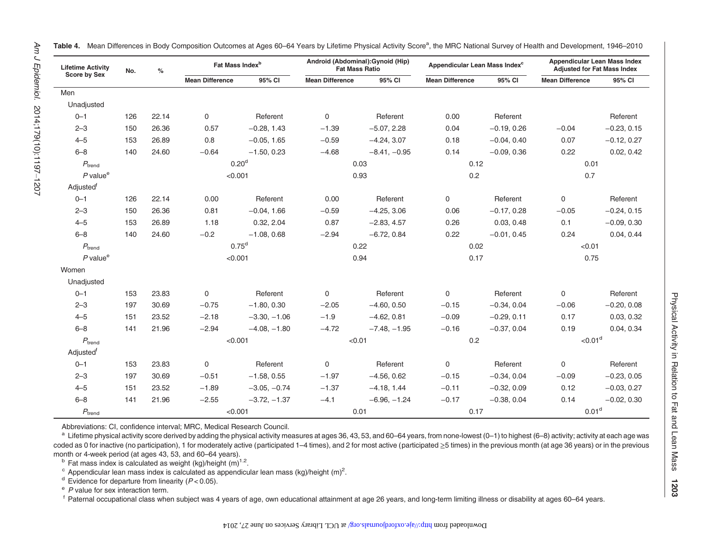| <b>Lifetime Activity</b><br><b>Score by Sex</b> | No. | $\%$  |                        | Fat Mass Index <sup>b</sup> |                        | Android (Abdominal): Gynoid (Hip)<br><b>Fat Mass Ratio</b> | Appendicular Lean Mass Index <sup>c</sup> |               | Appendicular Lean Mass Index<br><b>Adjusted for Fat Mass Index</b> |               |  |
|-------------------------------------------------|-----|-------|------------------------|-----------------------------|------------------------|------------------------------------------------------------|-------------------------------------------|---------------|--------------------------------------------------------------------|---------------|--|
|                                                 |     |       | <b>Mean Difference</b> | 95% CI                      | <b>Mean Difference</b> | 95% CI                                                     | <b>Mean Difference</b>                    | 95% CI        | <b>Mean Difference</b>                                             | 95% CI        |  |
| Men                                             |     |       |                        |                             |                        |                                                            |                                           |               |                                                                    |               |  |
| Unadjusted                                      |     |       |                        |                             |                        |                                                            |                                           |               |                                                                    |               |  |
| $0 - 1$                                         | 126 | 22.14 | 0                      | Referent                    | $\mathbf 0$            | Referent                                                   | 0.00                                      | Referent      |                                                                    | Referent      |  |
| $2 - 3$                                         | 150 | 26.36 | 0.57                   | $-0.28, 1.43$               | $-1.39$                | $-5.07, 2.28$                                              | 0.04                                      | $-0.19, 0.26$ | $-0.04$                                                            | $-0.23, 0.15$ |  |
| $4 - 5$                                         | 153 | 26.89 | 0.8                    | $-0.05, 1.65$               | $-0.59$                | $-4.24, 3.07$                                              | 0.18                                      | $-0.04, 0.40$ | 0.07                                                               | $-0.12, 0.27$ |  |
| $6 - 8$                                         | 140 | 24.60 | $-0.64$                | $-1.50, 0.23$               | $-4.68$                | $-8.41, -0.95$                                             | 0.14                                      | $-0.09, 0.36$ | 0.22                                                               | 0.02, 0.42    |  |
| $P_{\text{trend}}$                              |     |       | 0.20 <sup>d</sup>      |                             |                        | 0.03                                                       | 0.12                                      |               | 0.01                                                               |               |  |
| $P$ value $^e$                                  |     |       | < 0.001                |                             |                        | 0.93                                                       | 0.2                                       |               | 0.7                                                                |               |  |
| Adjusted <sup>f</sup>                           |     |       |                        |                             |                        |                                                            |                                           |               |                                                                    |               |  |
| $0 - 1$                                         | 126 | 22.14 | 0.00                   | Referent                    | 0.00                   | Referent                                                   | 0                                         | Referent      | 0                                                                  | Referent      |  |
| $2 - 3$                                         | 150 | 26.36 | 0.81                   | $-0.04, 1.66$               | $-0.59$                | $-4.25, 3.06$                                              | 0.06                                      | $-0.17, 0.28$ | $-0.05$                                                            | $-0.24, 0.15$ |  |
| $4 - 5$                                         | 153 | 26.89 | 1.18                   | 0.32, 2.04                  | 0.87                   | $-2.83, 4.57$                                              | 0.26                                      | 0.03, 0.48    | 0.1                                                                | $-0.09, 0.30$ |  |
| $6 - 8$                                         | 140 | 24.60 | $-0.2$                 | $-1.08, 0.68$               | $-2.94$                | $-6.72, 0.84$                                              | 0.22                                      | $-0.01, 0.45$ | 0.24                                                               | 0.04, 0.44    |  |
| $P_{\text{trend}}$                              |     |       | 0.75 <sup>d</sup>      |                             | 0.22                   |                                                            | 0.02                                      |               | < 0.01                                                             |               |  |
| $P$ value <sup><math>e</math></sup>             |     |       | < 0.001                |                             | 0.94                   |                                                            | 0.17                                      |               | 0.75                                                               |               |  |
| Women                                           |     |       |                        |                             |                        |                                                            |                                           |               |                                                                    |               |  |
| Unadjusted                                      |     |       |                        |                             |                        |                                                            |                                           |               |                                                                    |               |  |
| $0 - 1$                                         | 153 | 23.83 | 0                      | Referent                    | 0                      | Referent                                                   | $\mathbf 0$                               | Referent      | 0                                                                  | Referent      |  |
| $2 - 3$                                         | 197 | 30.69 | $-0.75$                | $-1.80, 0.30$               | $-2.05$                | $-4.60, 0.50$                                              | $-0.15$                                   | $-0.34, 0.04$ | $-0.06$                                                            | $-0.20, 0.08$ |  |
| $4 - 5$                                         | 151 | 23.52 | $-2.18$                | $-3.30, -1.06$              | $-1.9$                 | $-4.62, 0.81$                                              | $-0.09$                                   | $-0.29, 0.11$ | 0.17                                                               | 0.03, 0.32    |  |
| $6 - 8$                                         | 141 | 21.96 | $-2.94$                | $-4.08, -1.80$              | $-4.72$                | $-7.48, -1.95$                                             | $-0.16$                                   | $-0.37, 0.04$ | 0.19                                                               | 0.04, 0.34    |  |
| $P_{\rm trend}$                                 |     |       | < 0.001                |                             | < 0.01                 |                                                            | 0.2                                       |               | ${<}0.01^\mathrm{d}$                                               |               |  |
| Adjusted <sup>f</sup>                           |     |       |                        |                             |                        |                                                            |                                           |               |                                                                    |               |  |
| $0 - 1$                                         | 153 | 23.83 | 0                      | Referent                    | 0                      | Referent                                                   | $\mathbf 0$                               | Referent      | 0                                                                  | Referent      |  |
| $2 - 3$                                         | 197 | 30.69 | $-0.51$                | $-1.58, 0.55$               | $-1.97$                | $-4.56, 0.62$                                              | $-0.15$                                   | $-0.34, 0.04$ | $-0.09$                                                            | $-0.23, 0.05$ |  |
| $4 - 5$                                         | 151 | 23.52 | $-1.89$                | $-3.05, -0.74$              | $-1.37$                | $-4.18, 1.44$                                              | $-0.11$                                   | $-0.32, 0.09$ | 0.12                                                               | $-0.03, 0.27$ |  |
| $6 - 8$                                         | 141 | 21.96 | $-2.55$                | $-3.72, -1.37$              | $-4.1$                 | $-6.96, -1.24$                                             | $-0.17$                                   | $-0.38, 0.04$ | 0.14                                                               | $-0.02, 0.30$ |  |
| $P_{\text{trend}}$                              |     |       | < 0.001                |                             | 0.01                   |                                                            | 0.17                                      |               | 0.01 <sup>d</sup>                                                  |               |  |

<span id="page-6-0"></span>Table 4. Mean Differences in Body Composition Outcomes at Ages 60–64 Years by Lifetime Physical Activity Score<sup>a</sup>, the MRC National Survey of Health and Development, 1946–2010

Abbreviations: CI, confidence interval; MRC, Medical Research Council.

 $^{\rm a}$  Lifetime physical activity score derived by adding the physical activity measures at ages 36, 43, 53, and 60–64 years, from none-lowest (0–1) to highest (6–8) activity; activity at each age was coded as 0 for inactive (no participation), 1 for moderately active (participated 1–4 times), and 2 for most active (participated ≥5 times) in the previous month (at age 36 years) or in the previous month or 4-week period (at ages 43, 53, and 60–64 years).

Physical Activity in Relation to Fat and Lean Mass

Physical Activity in Relation to Fat and Lean Mass

1203

 $^{\text{b}}$  Fat mass index is calculated as weight (kg)/height (m)<sup>1.2</sup>.

 $\rm ^c$  Appendicular lean mass index is calculated as appendicular lean mass (kg)/height (m)<sup>2</sup>.

 $d$  Evidence for departure from linearity ( $P$  < 0.05).

<sup>e</sup> P value for sex interaction term.

f Paternal occupational class when subject was 4 years of age, own educational attainment at age 26 years, and long-term limiting illness or disability at ages 60–64 years.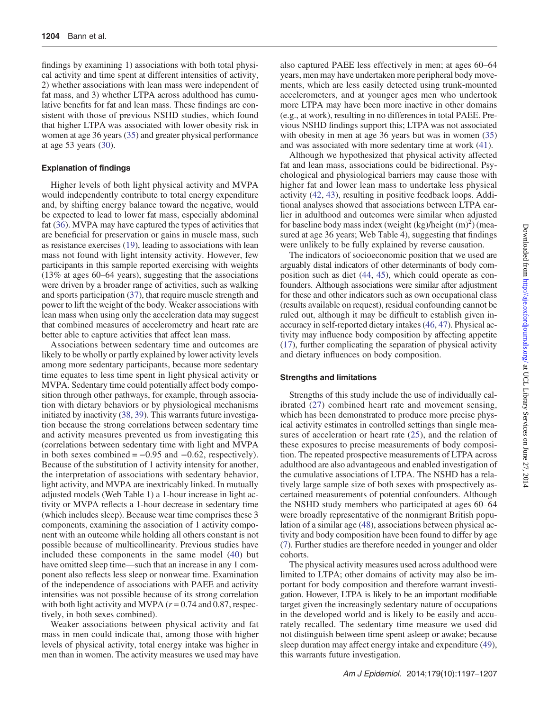findings by examining 1) associations with both total physical activity and time spent at different intensities of activity, 2) whether associations with lean mass were independent of fat mass, and 3) whether LTPA across adulthood has cumulative benefits for fat and lean mass. These findings are consistent with those of previous NSHD studies, which found that higher LTPA was associated with lower obesity risk in women at age 36 years ([35\)](#page-9-0) and greater physical performance at age 53 years ([30\)](#page-9-0).

## Explanation of findings

Higher levels of both light physical activity and MVPA would independently contribute to total energy expenditure and, by shifting energy balance toward the negative, would be expected to lead to lower fat mass, especially abdominal fat ([36\)](#page-9-0). MVPA may have captured the types of activities that are beneficial for preservation or gains in muscle mass, such as resistance exercises ([19\)](#page-9-0), leading to associations with lean mass not found with light intensity activity. However, few participants in this sample reported exercising with weights (13% at ages 60–64 years), suggesting that the associations were driven by a broader range of activities, such as walking and sports participation ([37\)](#page-9-0), that require muscle strength and power to lift the weight of the body. Weaker associations with lean mass when using only the acceleration data may suggest that combined measures of accelerometry and heart rate are better able to capture activities that affect lean mass.

Associations between sedentary time and outcomes are likely to be wholly or partly explained by lower activity levels among more sedentary participants, because more sedentary time equates to less time spent in light physical activity or MVPA. Sedentary time could potentially affect body composition through other pathways, for example, through association with dietary behaviors or by physiological mechanisms initiated by inactivity [\(38](#page-9-0), [39](#page-9-0)). This warrants future investigation because the strong correlations between sedentary time and activity measures prevented us from investigating this (correlations between sedentary time with light and MVPA in both sexes combined  $= -0.95$  and  $-0.62$ , respectively). Because of the substitution of 1 activity intensity for another, the interpretation of associations with sedentary behavior, light activity, and MVPA are inextricably linked. In mutually adjusted models (Web Table 1) a 1-hour increase in light activity or MVPA reflects a 1-hour decrease in sedentary time (which includes sleep). Because wear time comprises these 3 components, examining the association of 1 activity component with an outcome while holding all others constant is not possible because of multicollinearity. Previous studies have included these components in the same model ([40\)](#page-9-0) but have omitted sleep time—such that an increase in any 1 component also reflects less sleep or nonwear time. Examination of the independence of associations with PAEE and activity intensities was not possible because of its strong correlation with both light activity and MVPA ( $r = 0.74$  and 0.87, respectively, in both sexes combined).

Weaker associations between physical activity and fat mass in men could indicate that, among those with higher levels of physical activity, total energy intake was higher in men than in women. The activity measures we used may have

also captured PAEE less effectively in men; at ages 60–64 years, men may have undertaken more peripheral body movements, which are less easily detected using trunk-mounted accelerometers, and at younger ages men who undertook more LTPA may have been more inactive in other domains (e.g., at work), resulting in no differences in total PAEE. Previous NSHD findings support this; LTPA was not associated with obesity in men at age 36 years but was in women ([35\)](#page-9-0) and was associated with more sedentary time at work ([41\)](#page-9-0).

Although we hypothesized that physical activity affected fat and lean mass, associations could be bidirectional. Psychological and physiological barriers may cause those with higher fat and lower lean mass to undertake less physical activity [\(42](#page-9-0), [43\)](#page-9-0), resulting in positive feedback loops. Additional analyses showed that associations between LTPA earlier in adulthood and outcomes were similar when adjusted for baseline body mass index (weight  $(kg)/height (m)<sup>2</sup>$ ) (measured at age 36 years; Web Table 4), suggesting that findings were unlikely to be fully explained by reverse causation.

The indicators of socioeconomic position that we used are arguably distal indicators of other determinants of body composition such as diet ([44](#page-9-0), [45\)](#page-10-0), which could operate as confounders. Although associations were similar after adjustment for these and other indicators such as own occupational class (results available on request), residual confounding cannot be ruled out, although it may be difficult to establish given inaccuracy in self-reported dietary intakes ([46,](#page-10-0) [47](#page-10-0)). Physical activity may influence body composition by affecting appetite [\(17](#page-9-0)), further complicating the separation of physical activity and dietary influences on body composition.

## Strengths and limitations

Strengths of this study include the use of individually calibrated [\(27\)](#page-9-0) combined heart rate and movement sensing, which has been demonstrated to produce more precise physical activity estimates in controlled settings than single measures of acceleration or heart rate  $(25)$  $(25)$ , and the relation of these exposures to precise measurements of body composition. The repeated prospective measurements of LTPA across adulthood are also advantageous and enabled investigation of the cumulative associations of LTPA. The NSHD has a relatively large sample size of both sexes with prospectively ascertained measurements of potential confounders. Although the NSHD study members who participated at ages 60–64 were broadly representative of the nonmigrant British population of a similar age [\(48\)](#page-10-0), associations between physical activity and body composition have been found to differ by age [\(7](#page-8-0)). Further studies are therefore needed in younger and older cohorts.

The physical activity measures used across adulthood were limited to LTPA; other domains of activity may also be important for body composition and therefore warrant investigation. However, LTPA is likely to be an important modifiable target given the increasingly sedentary nature of occupations in the developed world and is likely to be easily and accurately recalled. The sedentary time measure we used did not distinguish between time spent asleep or awake; because sleep duration may affect energy intake and expenditure [\(49](#page-10-0)), this warrants future investigation.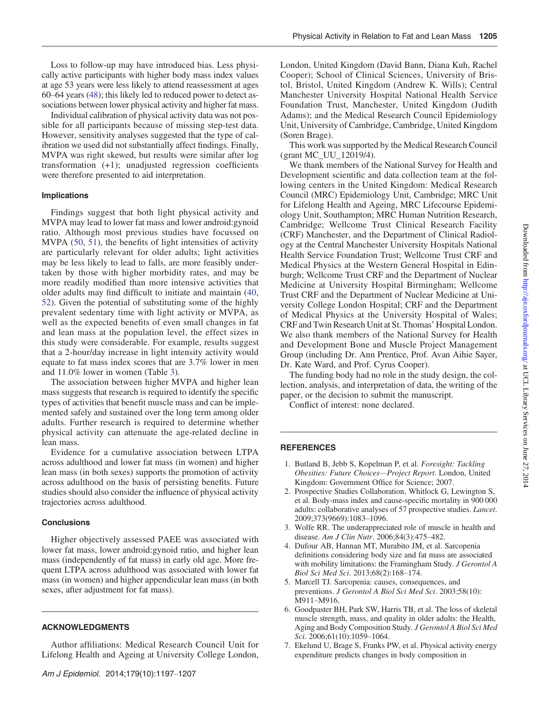<span id="page-8-0"></span>Loss to follow-up may have introduced bias. Less physically active participants with higher body mass index values at age 53 years were less likely to attend reassessment at ages 60–64 years [\(48](#page-10-0)); this likely led to reduced power to detect associations between lower physical activity and higher fat mass.

Individual calibration of physical activity data was not possible for all participants because of missing step-test data. However, sensitivity analyses suggested that the type of calibration we used did not substantially affect findings. Finally, MVPA was right skewed, but results were similar after log transformation (+1); unadjusted regression coefficients were therefore presented to aid interpretation.

## Implications

Findings suggest that both light physical activity and MVPA may lead to lower fat mass and lower android:gynoid ratio. Although most previous studies have focussed on MVPA [\(50,](#page-10-0) [51](#page-10-0)), the benefits of light intensities of activity are particularly relevant for older adults; light activities may be less likely to lead to falls, are more feasibly undertaken by those with higher morbidity rates, and may be more readily modified than more intensive activities that older adults may find difficult to initiate and maintain [\(40,](#page-9-0) [52](#page-10-0)). Given the potential of substituting some of the highly prevalent sedentary time with light activity or MVPA, as well as the expected benefits of even small changes in fat and lean mass at the population level, the effect sizes in this study were considerable. For example, results suggest that a 2-hour/day increase in light intensity activity would equate to fat mass index scores that are 3.7% lower in men and 11.0% lower in women (Table [3\)](#page-4-0).

The association between higher MVPA and higher lean mass suggests that research is required to identify the specific types of activities that benefit muscle mass and can be implemented safely and sustained over the long term among older adults. Further research is required to determine whether physical activity can attenuate the age-related decline in lean mass.

Evidence for a cumulative association between LTPA across adulthood and lower fat mass (in women) and higher lean mass (in both sexes) supports the promotion of activity across adulthood on the basis of persisting benefits. Future studies should also consider the influence of physical activity trajectories across adulthood.

## **Conclusions**

Higher objectively assessed PAEE was associated with lower fat mass, lower android:gynoid ratio, and higher lean mass (independently of fat mass) in early old age. More frequent LTPA across adulthood was associated with lower fat mass (in women) and higher appendicular lean mass (in both sexes, after adjustment for fat mass).

## ACKNOWLEDGMENTS

Author affiliations: Medical Research Council Unit for Lifelong Health and Ageing at University College London,

London, United Kingdom (David Bann, Diana Kuh, Rachel Cooper); School of Clinical Sciences, University of Bristol, Bristol, United Kingdom (Andrew K. Wills); Central Manchester University Hospital National Health Service Foundation Trust, Manchester, United Kingdom (Judith Adams); and the Medical Research Council Epidemiology Unit, University of Cambridge, Cambridge, United Kingdom (Soren Brage).

This work was supported by the Medical Research Council (grant MC\_UU\_12019/4).

We thank members of the National Survey for Health and Development scientific and data collection team at the following centers in the United Kingdom: Medical Research Council (MRC) Epidemiology Unit, Cambridge; MRC Unit for Lifelong Health and Ageing, MRC Lifecourse Epidemiology Unit, Southampton; MRC Human Nutrition Research, Cambridge; Wellcome Trust Clinical Research Facility (CRF) Manchester, and the Department of Clinical Radiology at the Central Manchester University Hospitals National Health Service Foundation Trust; Wellcome Trust CRF and Medical Physics at the Western General Hospital in Edinburgh; Wellcome Trust CRF and the Department of Nuclear Medicine at University Hospital Birmingham; Wellcome Trust CRF and the Department of Nuclear Medicine at University College London Hospital; CRF and the Department of Medical Physics at the University Hospital of Wales; CRF and Twin Research Unit at St. Thomas' Hospital London. We also thank members of the National Survey for Health and Development Bone and Muscle Project Management Group (including Dr. Ann Prentice, Prof. Avan Aihie Sayer, Dr. Kate Ward, and Prof. Cyrus Cooper).

The funding body had no role in the study design, the collection, analysis, and interpretation of data, the writing of the paper, or the decision to submit the manuscript.

Conflict of interest: none declared.

## **REFERENCES**

- 1. Butland B, Jebb S, Kopelman P, et al. Foresight: Tackling Obesities: Future Choices—Project Report. London, United Kingdom: Government Office for Science; 2007.
- 2. Prospective Studies Collaboration, Whitlock G, Lewington S, et al. Body-mass index and cause-specific mortality in 900 000 adults: collaborative analyses of 57 prospective studies. Lancet. 2009;373(9669):1083–1096.
- 3. Wolfe RR. The underappreciated role of muscle in health and disease. Am J Clin Nutr. 2006;84(3):475–482.
- 4. Dufour AB, Hannan MT, Murabito JM, et al. Sarcopenia definitions considering body size and fat mass are associated with mobility limitations: the Framingham Study. J Gerontol A Biol Sci Med Sci. 2013;68(2):168–174.
- 5. Marcell TJ. Sarcopenia: causes, consequences, and preventions. J Gerontol A Biol Sci Med Sci. 2003;58(10): M911–M916.
- 6. Goodpaster BH, Park SW, Harris TB, et al. The loss of skeletal muscle strength, mass, and quality in older adults: the Health, Aging and Body Composition Study. J Gerontol A Biol Sci Med Sci. 2006;61(10):1059–1064.
- 7. Ekelund U, Brage S, Franks PW, et al. Physical activity energy expenditure predicts changes in body composition in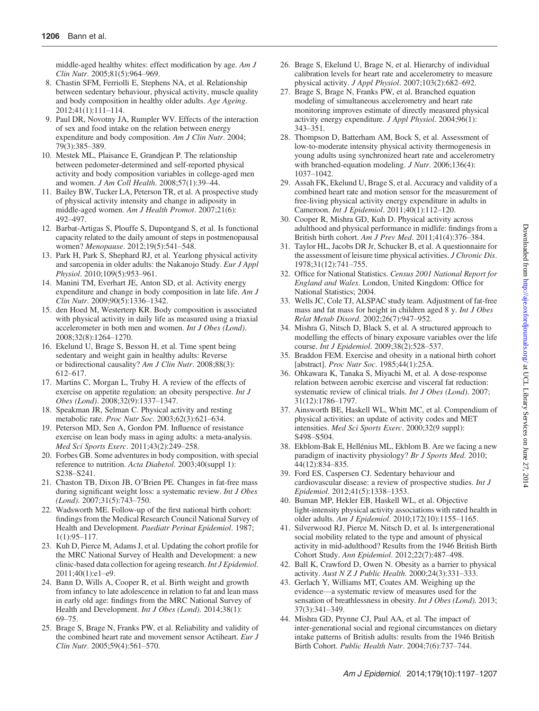<span id="page-9-0"></span>middle-aged healthy whites: effect modification by age.  $AmJ$ Clin Nutr. 2005;81(5):964–969.

- 8. Chastin SFM, Ferriolli E, Stephens NA, et al. Relationship between sedentary behaviour, physical activity, muscle quality and body composition in healthy older adults. Age Ageing. 2012;41(1):111–114.
- 9. Paul DR, Novotny JA, Rumpler WV. Effects of the interaction of sex and food intake on the relation between energy expenditure and body composition. Am J Clin Nutr. 2004; 79(3):385–389.
- 10. Mestek ML, Plaisance E, Grandjean P. The relationship between pedometer-determined and self-reported physical activity and body composition variables in college-aged men and women. J Am Coll Health. 2008;57(1):39–44.
- 11. Bailey BW, Tucker LA, Peterson TR, et al. A prospective study of physical activity intensity and change in adiposity in middle-aged women. Am J Health Promot. 2007;21(6): 492–497.
- 12. Barbat-Artigas S, Plouffe S, Dupontgand S, et al. Is functional capacity related to the daily amount of steps in postmenopausal women? Menopause. 2012;19(5):541–548.
- 13. Park H, Park S, Shephard RJ, et al. Yearlong physical activity and sarcopenia in older adults: the Nakanojo Study. Eur J Appl Physiol. 2010;109(5):953–961.
- 14. Manini TM, Everhart JE, Anton SD, et al. Activity energy expenditure and change in body composition in late life. Am J Clin Nutr. 2009;90(5):1336–1342.
- 15. den Hoed M, Westerterp KR. Body composition is associated with physical activity in daily life as measured using a triaxial accelerometer in both men and women. Int J Obes (Lond). 2008;32(8):1264–1270.
- 16. Ekelund U, Brage S, Besson H, et al. Time spent being sedentary and weight gain in healthy adults: Reverse or bidirectional causality? Am J Clin Nutr. 2008;88(3): 612–617.
- 17. Martins C, Morgan L, Truby H. A review of the effects of exercise on appetite regulation: an obesity perspective. *Int J* Obes (Lond). 2008;32(9):1337–1347.
- 18. Speakman JR, Selman C. Physical activity and resting metabolic rate. Proc Nutr Soc. 2003;62(3):621–634.
- 19. Peterson MD, Sen A, Gordon PM. Influence of resistance exercise on lean body mass in aging adults: a meta-analysis. Med Sci Sports Exerc. 2011;43(2):249–258.
- 20. Forbes GB. Some adventures in body composition, with special reference to nutrition. Acta Diabetol. 2003;40(suppl 1): S238–S241.
- 21. Chaston TB, Dixon JB, O'Brien PE. Changes in fat-free mass during significant weight loss: a systematic review. *Int J Obes* (Lond). 2007;31(5):743–750.
- 22. Wadsworth ME. Follow-up of the first national birth cohort: findings from the Medical Research Council National Survey of Health and Development. Paediatr Perinat Epidemiol. 1987; 1(1):95–117.
- 23. Kuh D, Pierce M, Adams J, et al. Updating the cohort profile for the MRC National Survey of Health and Development: a new clinic-based data collection for ageing research. Int J Epidemiol. 2011;40(1):e1–e9.
- 24. Bann D, Wills A, Cooper R, et al. Birth weight and growth from infancy to late adolescence in relation to fat and lean mass in early old age: findings from the MRC National Survey of Health and Development. Int J Obes (Lond). 2014;38(1): 69–75.
- 25. Brage S, Brage N, Franks PW, et al. Reliability and validity of the combined heart rate and movement sensor Actiheart. Eur J Clin Nutr. 2005;59(4):561–570.
- 26. Brage S, Ekelund U, Brage N, et al. Hierarchy of individual calibration levels for heart rate and accelerometry to measure physical activity. J Appl Physiol. 2007;103(2):682–692.
- 27. Brage S, Brage N, Franks PW, et al. Branched equation modeling of simultaneous accelerometry and heart rate monitoring improves estimate of directly measured physical activity energy expenditure. J Appl Physiol. 2004;96(1): 343–351.
- 28. Thompson D, Batterham AM, Bock S, et al. Assessment of low-to-moderate intensity physical activity thermogenesis in young adults using synchronized heart rate and accelerometry with branched-equation modeling. *J Nutr.* 2006;136(4): 1037–1042.
- 29. Assah FK, Ekelund U, Brage S, et al. Accuracy and validity of a combined heart rate and motion sensor for the measurement of free-living physical activity energy expenditure in adults in Cameroon. Int J Epidemiol. 2011;40(1):112–120.
- 30. Cooper R, Mishra GD, Kuh D. Physical activity across adulthood and physical performance in midlife: findings from a British birth cohort. Am J Prev Med. 2011;41(4):376–384.
- 31. Taylor HL, Jacobs DR Jr, Schucker B, et al. A questionnaire for the assessment of leisure time physical activities. *J Chronic Dis*. 1978;31(12):741–755.
- 32. Office for National Statistics. Census 2001 National Report for England and Wales. London, United Kingdom: Office for National Statistics; 2004.
- 33. Wells JC, Cole TJ, ALSPAC study team. Adjustment of fat-free mass and fat mass for height in children aged 8 y. Int J Obes Relat Metab Disord. 2002;26(7):947–952.
- 34. Mishra G, Nitsch D, Black S, et al. A structured approach to modelling the effects of binary exposure variables over the life course. Int J Epidemiol. 2009;38(2):528-537.
- 35. Braddon FEM. Exercise and obesity in a national birth cohort [abstract]. Proc Nutr Soc. 1985;44(1):25A.
- 36. Ohkawara K, Tanaka S, Miyachi M, et al. A dose-response relation between aerobic exercise and visceral fat reduction: systematic review of clinical trials. Int J Obes (Lond). 2007; 31(12):1786–1797.
- 37. Ainsworth BE, Haskell WL, Whitt MC, et al. Compendium of physical activities: an update of activity codes and MET intensities. Med Sci Sports Exerc. 2000;32(9 suppl): S498–S504.
- 38. Ekblom-Bak E, Hellénius ML, Ekblom B. Are we facing a new paradigm of inactivity physiology? Br J Sports Med. 2010; 44(12):834–835.
- 39. Ford ES, Caspersen CJ. Sedentary behaviour and cardiovascular disease: a review of prospective studies. Int J Epidemiol. 2012;41(5):1338–1353.
- 40. Buman MP, Hekler EB, Haskell WL, et al. Objective light-intensity physical activity associations with rated health in older adults. Am J Epidemiol. 2010;172(10):1155–1165.
- 41. Silverwood RJ, Pierce M, Nitsch D, et al. Is intergenerational social mobility related to the type and amount of physical activity in mid-adulthood? Results from the 1946 British Birth Cohort Study. Ann Epidemiol. 2012;22(7):487–498.
- 42. Ball K, Crawford D, Owen N. Obesity as a barrier to physical activity. Aust N Z J Public Health. 2000;24(3):331–333.
- 43. Gerlach Y, Williams MT, Coates AM. Weighing up the evidence—a systematic review of measures used for the sensation of breathlessness in obesity. Int J Obes (Lond). 2013; 37(3):341–349.
- 44. Mishra GD, Prynne CJ, Paul AA, et al. The impact of inter-generational social and regional circumstances on dietary intake patterns of British adults: results from the 1946 British Birth Cohort. Public Health Nutr. 2004;7(6):737–744.